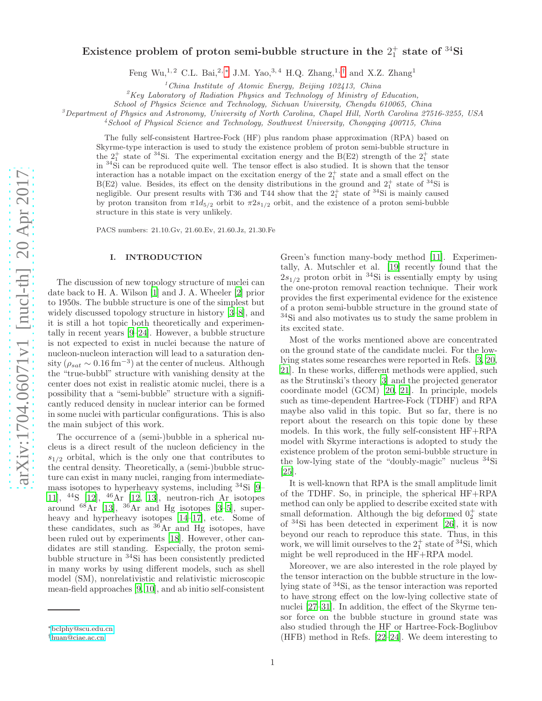# Existence problem of proton semi-bubble structure in the  $2^+_1$  state of  ${}^{34}\text{Si}$

Feng Wu,<sup>1,2</sup> C.L. Bai,<sup>2,\*</sup> J.M. Yao,<sup>3,4</sup> H.Q. Zhang,<sup>1,[†](#page-0-1)</sup> and X.Z. Zhang<sup>1</sup>

 $1$ China Institute of Atomic Energy, Beijing 102413, China

 ${}^{2}$ Key Laboratory of Radiation Physics and Technology of Ministry of Education,

 ${}^{3}$ Department of Physics and Astronomy, University of North Carolina, Chapel Hill, North Carolina 27516-3255, USA

<sup>4</sup>School of Physical Science and Technology, Southwest University, Chongqing 400715, China

The fully self-consistent Hartree-Fock (HF) plus random phase approximation (RPA) based on Skyrme-type interaction is used to study the existence problem of proton semi-bubble structure in the  $2_1^+$  state of <sup>34</sup>Si. The experimental excitation energy and the B(E2) strength of the  $2_1^+$  state in <sup>34</sup>Si can be reproduced quite well. The tensor effect is also studied. It is shown that the tensor interaction has a notable impact on the excitation energy of the  $2<sup>+</sup><sub>1</sub>$  state and a small effect on the  $B(E2)$  value. Besides, its effect on the density distributions in the ground and  $2^+_1$  state of  $^{34}$ Si is negligible. Our present results with T36 and T44 show that the  $2^{+}_{1}$  state of <sup>34</sup>Si is mainly caused by proton transiton from  $\pi 1d_{5/2}$  orbit to  $\pi 2s_{1/2}$  orbit, and the existence of a proton semi-bubble structure in this state is very unlikely.

PACS numbers: 21.10.Gv, 21.60.Ev, 21.60.Jz, 21.30.Fe

## I. INTRODUCTION

The discussion of new topology structure of nuclei can date back to H. A. Wilson [\[1](#page-4-0)] and J. A. Wheeler [\[2](#page-4-1)] prior to 1950s. The bubble structure is one of the simplest but widely discussed topology structure in history [\[3](#page-4-2)[–8](#page-4-3)], and it is still a hot topic both theoretically and experimentally in recent years [\[9](#page-4-4)[–24](#page-4-5)]. However, a bubble structure is not expected to exist in nuclei because the nature of nucleon-nucleon interaction will lead to a saturation density  $(\rho_{sat} \sim 0.16 \text{ fm}^{-3})$  at the center of nucleus. Although the "true-bubbl" structure with vanishing density at the center does not exist in realistic atomic nuclei, there is a possibility that a "semi-bubble" structure with a significantly reduced density in nuclear interior can be formed in some nuclei with particular configurations. This is also the main subject of this work.

The occurrence of a (semi-)bubble in a spherical nucleus is a direct result of the nucleon deficiency in the  $s_{1/2}$  orbital, which is the only one that contributes to the central density. Theoretically, a (semi-)bubble structure can exist in many nuclei, ranging from intermediatemass isotopes to hyperheavy systems, including <sup>34</sup>Si [\[9](#page-4-4)– [11\]](#page-4-6), <sup>44</sup>S [\[12](#page-4-7)], <sup>46</sup>Ar [\[12](#page-4-7), [13\]](#page-4-8), neutron-rich Ar isotopes around  $^{68}$ Ar [\[13\]](#page-4-8),  $^{36}$ Ar and Hg isotopes [\[3](#page-4-2)[–5\]](#page-4-9), superheavy and hyperheavy isotopes [\[14](#page-4-10)[–17](#page-4-11)], etc. Some of these candidates, such as  ${}^{36}Ar$  and Hg isotopes, have been ruled out by experiments [\[18](#page-4-12)]. However, other candidates are still standing. Especially, the proton semibubble structure in <sup>34</sup>Si has been consistently predicted in many works by using different models, such as shell model (SM), nonrelativistic and relativistic microscopic mean-field approaches [\[9](#page-4-4), [10](#page-4-13)], and ab initio self-consistent

Green's function many-body method [\[11](#page-4-6)]. Experimentally, A. Mutschler et al. [\[19](#page-4-14)] recently found that the  $2s_{1/2}$  proton orbit in <sup>34</sup>Si is essentially empty by using the one-proton removal reaction technique. Their work provides the first experimental evidence for the existence of a proton semi-bubble structure in the ground state of <sup>34</sup>Si and also motivates us to study the same problem in its excited state.

Most of the works mentioned above are concentrated on the ground state of the candidate nuclei. For the lowlying states some researches were reported in Refs. [\[3](#page-4-2), [20](#page-4-15), [21](#page-4-16)]. In these works, different methods were applied, such as the Strutinski's theory [\[3](#page-4-2)] and the projected generator coordinate model (GCM) [\[20,](#page-4-15) [21](#page-4-16)]. In principle, models such as time-dependent Hartree-Fock (TDHF) and RPA maybe also valid in this topic. But so far, there is no report about the research on this topic done by these models. In this work, the fully self-consistent HF+RPA model with Skyrme interactions is adopted to study the existence problem of the proton semi-bubble structure in the low-lying state of the "doubly-magic" nucleus <sup>34</sup>Si [\[25\]](#page-4-17).

It is well-known that RPA is the small amplitude limit of the TDHF. So, in principle, the spherical HF+RPA method can only be applied to describe excited state with small deformation. Although the big deformed  $0^+_2$  state of <sup>34</sup>Si has been detected in experiment [\[26\]](#page-4-18), it is now beyond our reach to reproduce this state. Thus, in this work, we will limit ourselves to the  $2^+_1$  state of <sup>34</sup>Si, which might be well reproduced in the HF+RPA model.

Moreover, we are also interested in the role played by the tensor interaction on the bubble structure in the lowlying state of <sup>34</sup>Si, as the tensor interaction was reported to have strong effect on the low-lying collective state of nuclei [\[27](#page-4-19)[–31](#page-4-20)]. In addition, the effect of the Skyrme tensor force on the bubble stucture in ground state was also studied through the HF or Hartree-Fock-Bogliubov (HFB) method in Refs. [\[22](#page-4-21)[–24\]](#page-4-5). We deem interesting to

School of Physics Science and Technology, Sichuan University, Chengdu 610065, China

<span id="page-0-0"></span><sup>∗</sup>[bclphy@scu.edu.cn](mailto:bclphy@scu.edu.cn)

<span id="page-0-1"></span><sup>†</sup>[huan@ciae.ac.cn](mailto:huan@ciae.ac.cn)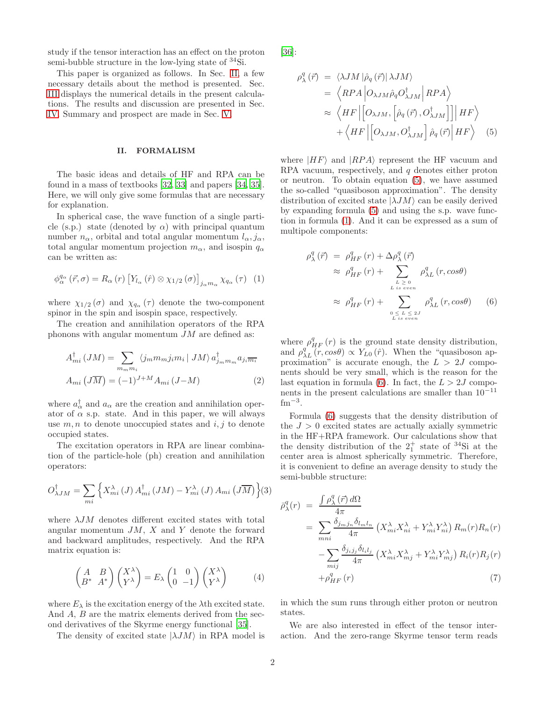study if the tensor interaction has an effect on the proton semi-bubble structure in the low-lying state of <sup>34</sup>Si.

This paper is organized as follows. In Sec. [II,](#page-1-0) a few necessary details about the method is presented. Sec. [III](#page-2-0) displays the numerical details in the present calculations. The results and discussion are presented in Sec. [IV.](#page-2-1) Summary and prospect are made in Sec. [V.](#page-4-22)

### <span id="page-1-0"></span>II. FORMALISM

The basic ideas and details of HF and RPA can be found in a mass of textbooks [\[32,](#page-4-23) [33](#page-4-24)] and papers [\[34,](#page-4-25) [35\]](#page-5-0). Here, we will only give some formulas that are necessary for explanation.

In spherical case, the wave function of a single particle (s.p.) state (denoted by  $\alpha$ ) with principal quantum number  $n_{\alpha}$ , orbital and total angular momentum  $l_{\alpha}, j_{\alpha}$ , total angular momentum projection  $m_{\alpha}$ , and isospin  $q_{\alpha}$ can be written as:

<span id="page-1-2"></span>
$$
\phi_{\alpha}^{q_{\alpha}}\left(\vec{r},\sigma\right) = R_{\alpha}\left(r\right)\left[Y_{l_{\alpha}}\left(\hat{r}\right)\otimes\chi_{1/2}\left(\sigma\right)\right]_{j_{\alpha}m_{\alpha}}\chi_{q_{\alpha}}\left(\tau\right)\tag{1}
$$

where  $\chi_{1/2}(\sigma)$  and  $\chi_{q_\alpha}(\tau)$  denote the two-component spinor in the spin and isospin space, respectively.

The creation and annihilation operators of the RPA phonons with angular momentum  $JM$  are defined as:

$$
A_{mi}^{\dagger}(JM) = \sum_{m_m m_i} \langle j_m m_m j_i m_i | JM \rangle a_{j_m m_m}^{\dagger} a_{j_i \overline{m_i}}
$$

$$
A_{mi} (J\overline{M}) = (-1)^{J+M} A_{mi} (J-M)
$$
(2)

where  $a_{\alpha}^{\dagger}$  and  $a_{\alpha}$  are the creation and annihilation operator of  $\alpha$  s.p. state. And in this paper, we will always use  $m, n$  to denote unoccupied states and  $i, j$  to denote occupied states.

The excitation operators in RPA are linear combination of the particle-hole (ph) creation and annihilation operators:

$$
O_{\lambda JM}^{\dagger} = \sum_{mi} \left\{ X_{mi}^{\lambda} \left( J \right) A_{mi}^{\dagger} \left( JM \right) - Y_{mi}^{\lambda} \left( J \right) A_{mi} \left( J \overline{M} \right) \right\} (3)
$$

where  $\lambda$ *JM* denotes different excited states with total angular momentum  $JM$ ,  $X$  and  $Y$  denote the forward and backward amplitudes, respectively. And the RPA matrix equation is:

<span id="page-1-4"></span>
$$
\begin{pmatrix} A & B \\ B^* & A^* \end{pmatrix} \begin{pmatrix} X^{\lambda} \\ Y^{\lambda} \end{pmatrix} = E_{\lambda} \begin{pmatrix} 1 & 0 \\ 0 & -1 \end{pmatrix} \begin{pmatrix} X^{\lambda} \\ Y^{\lambda} \end{pmatrix}
$$
 (4)

where  $E_{\lambda}$  is the excitation energy of the  $\lambda$ th excited state. And A, B are the matrix elements derived from the second derivatives of the Skyrme energy functional [\[35\]](#page-5-0).

The density of excited state  $|\lambda J M\rangle$  in RPA model is

[\[36\]](#page-5-1):

<span id="page-1-1"></span>
$$
\rho_{\lambda}^{q}(\vec{r}) = \langle \lambda JM | \hat{\rho}_{q}(\vec{r}) | \lambda JM \rangle
$$
  
=  $\langle RPA | O_{\lambda JM} \hat{\rho}_{q} O_{\lambda JM}^{\dagger} | RPA \rangle$   
 $\approx \langle HF | [O_{\lambda JM}, [\hat{\rho}_{q}(\vec{r}), O_{\lambda JM}^{\dagger}]] | HF \rangle$   
+  $\langle HF | [O_{\lambda JM}, O_{\lambda JM}^{\dagger}] \hat{\rho}_{q}(\vec{r}) | HF \rangle$  (5)

where  $|HF\rangle$  and  $|RPA\rangle$  represent the HF vacuum and RPA vacuum, respectively, and  $q$  denotes either proton or neutron. To obtain equation [\(5\)](#page-1-1), we have assumed the so-called "quasiboson approximation". The density distribution of excited state  $|\lambda J M\rangle$  can be easily derived by expanding formula [\(5\)](#page-1-1) and using the s.p. wave function in formula [\(1\)](#page-1-2). And it can be expressed as a sum of multipole components:

<span id="page-1-3"></span>
$$
\rho_{\lambda}^{q}(\vec{r}) = \rho_{HF}^{q}(r) + \Delta \rho_{\lambda}^{q}(\vec{r})
$$
\n
$$
\approx \rho_{HF}^{q}(r) + \sum_{L \geq 0 \atop L \text{ is even}} \rho_{\lambda L}^{q}(r, cos\theta)
$$
\n
$$
\approx \rho_{HF}^{q}(r) + \sum_{0 \leq L \leq 2J \atop L \text{ is even}} \rho_{\lambda L}^{q}(r, cos\theta) \qquad (6)
$$

where  $\rho_{HF}^{q}(r)$  is the ground state density distribution, and  $\rho_{\lambda L}^{q'}(r,\cos\theta) \propto Y_{L0}(\hat{r})$ . When the "quasiboson approximation" is accurate enough, the  $L > 2J$  components should be very small, which is the reason for the last equation in formula [\(6\)](#page-1-3). In fact, the  $L > 2J$  components in the present calculations are smaller than  $10^{-11}$  $\rm fm^{-3}$ .

Formula [\(6\)](#page-1-3) suggests that the density distribution of the  $J > 0$  excited states are actually axially symmetric in the HF+RPA framework. Our calculations show that the density distribution of the  $2^+_1$  state of <sup>34</sup>Si at the center area is almost spherically symmetric. Therefore, it is convenient to define an average density to study the semi-bubble structure:

$$
\bar{\rho}_{\lambda}^{q}(r) = \frac{\int \rho_{\lambda}^{q}(\vec{r}) d\Omega}{4\pi} \n= \sum_{mni} \frac{\delta_{j_m j_n} \delta_{l_m l_n}}{4\pi} \left( X_{mi}^{\lambda} X_{ni}^{\lambda} + Y_{mi}^{\lambda} Y_{ni}^{\lambda} \right) R_m(r) R_n(r) \n- \sum_{mij} \frac{\delta_{j_i j_j} \delta_{l_i l_j}}{4\pi} \left( X_{mi}^{\lambda} X_{mj}^{\lambda} + Y_{mi}^{\lambda} Y_{mj}^{\lambda} \right) R_i(r) R_j(r) \n+ \rho_{HF}^{q}(r) \tag{7}
$$

in which the sum runs through either proton or neutron states.

We are also interested in effect of the tensor interaction. And the zero-range Skyrme tensor term reads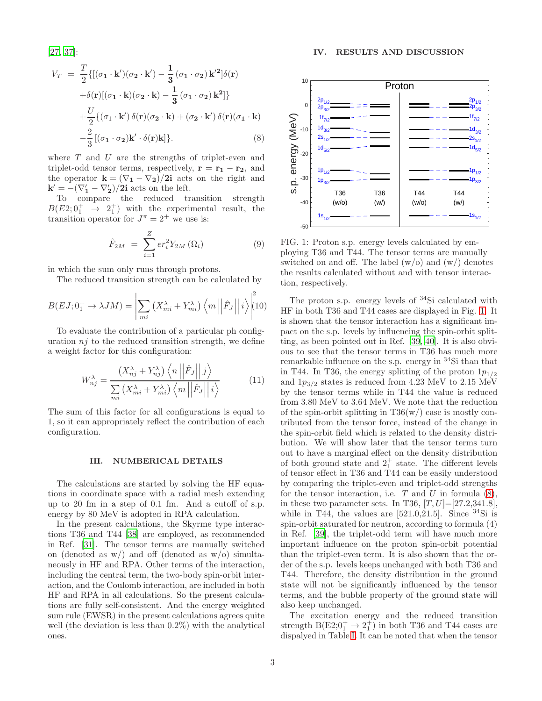[\[27,](#page-4-19) [37\]](#page-5-2):

<span id="page-2-3"></span>
$$
V_T = \frac{T}{2}\{ [(\sigma_1 \cdot \mathbf{k}')(\sigma_2 \cdot \mathbf{k}') - \frac{1}{3}(\sigma_1 \cdot \sigma_2) \mathbf{k}'^2] \delta(\mathbf{r})
$$
  
+  $\delta(\mathbf{r}) [(\sigma_1 \cdot \mathbf{k})(\sigma_2 \cdot \mathbf{k}) - \frac{1}{3}(\sigma_1 \cdot \sigma_2) \mathbf{k}^2] \}$   
+  $\frac{U}{2} \{ (\sigma_1 \cdot \mathbf{k}') \delta(\mathbf{r}) (\sigma_2 \cdot \mathbf{k}) + (\sigma_2 \cdot \mathbf{k}') \delta(\mathbf{r}) (\sigma_1 \cdot \mathbf{k})$   
-  $\frac{2}{3} [(\sigma_1 \cdot \sigma_2) \mathbf{k}' \cdot \delta(\mathbf{r}) \mathbf{k}] \}.$  (8)

where  $T$  and  $U$  are the strengths of triplet-even and triplet-odd tensor terms, respectively,  $\mathbf{r} = \mathbf{r_1} - \mathbf{r_2}$ , and the operator  $\mathbf{k} = (\nabla_1 - \nabla_2)/2\mathbf{i}$  acts on the right and  $\mathbf{k}' = -(\nabla_1' - \nabla_2')/2\mathbf{i}$  acts on the left.

To compare the reduced transition strength  $B(E2;0^+_1 \rightarrow 2^+_1)$  with the experimental result, the transition operator for  $J^{\pi} = 2^{+}$  we use is:

$$
\hat{F}_{2M} = \sum_{i=1}^{Z} er_i^2 Y_{2M}(\Omega_i)
$$
 (9)

in which the sum only runs through protons.

The reduced transition strength can be calculated by

$$
B(EJ; 0_1^+ \to \lambda JM) = \left| \sum_{mi} \left( X_{mi}^{\lambda} + Y_{mi}^{\lambda} \right) \left\langle m \left| \hat{F}_J \right| \right| i \right\rangle \left| \begin{matrix} 2 \\ 10 \end{matrix} \right|
$$

To evaluate the contribution of a particular ph configuration  $nj$  to the reduced transition strength, we define a weight factor for this configuration:

$$
W_{nj}^{\lambda} = \frac{\left(X_{nj}^{\lambda} + Y_{nj}^{\lambda}\right)\left\langle n \left\|\hat{F}_j\right\|j\right\rangle}{\sum\limits_{mi}\left(X_{mi}^{\lambda} + Y_{mi}^{\lambda}\right)\left\langle m \left\|\hat{F}_j\right\|i\right\rangle} \tag{11}
$$

The sum of this factor for all configurations is equal to 1, so it can appropriately reflect the contribution of each configuration.

#### <span id="page-2-0"></span>III. NUMBERICAL DETAILS

The calculations are started by solving the HF equations in coordinate space with a radial mesh extending up to 20 fm in a step of 0.1 fm. And a cutoff of s.p. energy by 80 MeV is adopted in RPA calculation.

In the present calculations, the Skyrme type interactions T36 and T44 [\[38\]](#page-5-3) are employed, as recommended in Ref. [\[31\]](#page-4-20). The tensor terms are manually switched on (denoted as  $w/$ ) and off (denoted as  $w/$ o) simultaneously in HF and RPA. Other terms of the interaction, including the central term, the two-body spin-orbit interaction, and the Coulomb interaction, are included in both HF and RPA in all calculations. So the present calculations are fully self-consistent. And the energy weighted sum rule (EWSR) in the present calculations agrees quite well (the deviation is less than 0.2%) with the analytical ones.

<span id="page-2-1"></span>

<span id="page-2-2"></span>FIG. 1: Proton s.p. energy levels calculated by employing T36 and T44. The tensor terms are manually switched on and off. The label  $(w/o)$  and  $(w/v)$  denotes the results calculated without and with tensor interaction, respectively.

The proton s.p. energy levels of <sup>34</sup>Si calculated with HF in both T36 and T44 cases are displayed in Fig. [1.](#page-2-2) It is shown that the tensor interaction has a significant impact on the s.p. levels by influencing the spin-orbit splitting, as been pointed out in Ref. [\[39,](#page-5-4) [40\]](#page-5-5). It is also obvious to see that the tensor terms in T36 has much more remarkable influence on the s.p. energy in <sup>34</sup>Si than that in T44. In T36, the energy splitting of the proton  $1p_{1/2}$ and  $1p_{3/2}$  states is reduced from 4.23 MeV to 2.15 MeV by the tensor terms while in T44 the value is reduced from 3.80 MeV to 3.64 MeV. We note that the reduction of the spin-orbit splitting in  $T36(w)$  case is mostly contributed from the tensor force, instead of the change in the spin-orbit field which is related to the density distribution. We will show later that the tensor terms turn out to have a marginal effect on the density distribution of both ground state and  $2^+_1$  state. The different levels of tensor effect in T36 and T44 can be easily understood by comparing the triplet-even and triplet-odd strengths for the tensor interaction, i.e.  $T$  and  $U$  in formula  $(8)$ , in these two parameter sets. In T36,  $[T, U] = [27.2, 341.8]$ , while in T44, the values are  $[521.0,21.5]$ . Since  $34\text{Si}$  is spin-orbit saturated for neutron, according to formula (4) in Ref. [\[39\]](#page-5-4), the triplet-odd term will have much more important influence on the proton spin-orbit potential than the triplet-even term. It is also shown that the order of the s.p. levels keeps unchanged with both T36 and T44. Therefore, the density distribution in the ground state will not be significantly influenced by the tensor terms, and the bubble property of the ground state will also keep unchanged.

The excitation energy and the reduced transition strength  $B(E2;0_1^+ \rightarrow 2_1^+)$  in both T36 and T44 cases are dispalyed in Table [I.](#page-3-0) It can be noted that when the tensor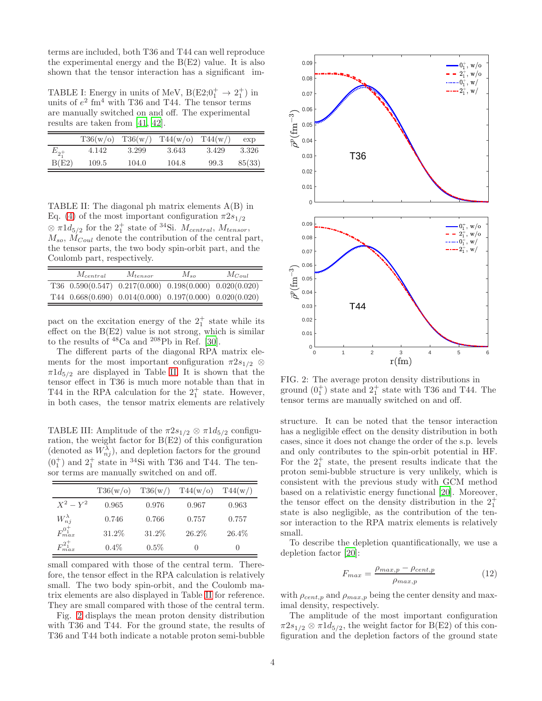terms are included, both T36 and T44 can well reproduce the experimental energy and the  $B(E2)$  value. It is also shown that the tensor interaction has a significant im-

<span id="page-3-0"></span>TABLE I: Energy in units of MeV,  $B(E2;0_1^+ \rightarrow 2_1^+)$  in units of  $e^2$  fm<sup>4</sup> with T36 and T44. The tensor terms are manually switched on and off. The experimental results are taken from [\[41,](#page-5-6) [42\]](#page-5-7).

|          | T36(w/o) | T36(w) | T44(w/o) | T44(w) | exp    |
|----------|----------|--------|----------|--------|--------|
| $E_{2+}$ | 4.142    | 3.299  | 3.643    | 3.429  | 3.326  |
| B(E2)    | 109.5    | 104.0  | 104.8    | 99.3   | 85(33) |

<span id="page-3-1"></span>TABLE II: The diagonal ph matrix elements A(B) in Eq. [\(4\)](#page-1-4) of the most important configuration  $\pi 2s_{1/2}$  $\otimes \pi 1d_{5/2}$  for the  $2^+_1$  state of <sup>34</sup>Si.  $M_{central}$ ,  $M_{tensor}$ ,  $M_{so}$ ,  $M_{Coul}$  denote the contribution of the central part, the tensor parts, the two body spin-orbit part, and the Coulomb part, respectively.

| $M_{central}$ | $M_{tensor}$ | $M_{so}$                                                        | $M_{Coul}$ |
|---------------|--------------|-----------------------------------------------------------------|------------|
|               |              | T36 $0.590(0.547)$ $0.217(0.000)$ $0.198(0.000)$ $0.020(0.020)$ |            |
|               |              | T44 $0.668(0.690)$ $0.014(0.000)$ $0.197(0.000)$ $0.020(0.020)$ |            |

pact on the excitation energy of the  $2^+_1$  state while its effect on the  $B(E2)$  value is not strong, which is similar to the results of  $^{48}Ca$  and  $^{208}Pb$  in Ref. [\[30](#page-4-26)].

The different parts of the diagonal RPA matrix elements for the most important configuration  $\pi 2s_{1/2} \otimes$  $\pi 1d_{5/2}$  are displayed in Table [II.](#page-3-1) It is shown that the tensor effect in T36 is much more notable than that in T44 in the RPA calculation for the  $2^+_1$  state. However, in both cases, the tensor matrix elements are relatively

<span id="page-3-3"></span>TABLE III: Amplitude of the  $\pi 2s_{1/2} \otimes \pi 1d_{5/2}$  configuration, the weight factor for B(E2) of this configuration (denoted as  $W_{nj}^{\lambda}$ ), and depletion factors for the ground  $(0<sub>1</sub><sup>+</sup>)$  and  $2<sub>1</sub><sup>+</sup>$  state in <sup>34</sup>Si with T36 and T44. The tensor terms are manually switched on and off.

|                       | T36(w/o) | T36(w)  | T44(w/o)          | T44(w)           |
|-----------------------|----------|---------|-------------------|------------------|
| $X^2-Y^2$             | 0.965    | 0.976   | 0.967             | 0.963            |
| $W_{ni}^{\lambda}$    | 0.746    | 0.766   | 0.757             | 0.757            |
| $F_{max}^{0_{1}^{+}}$ | 31.2%    | 31.2%   | 26.2%             | 26.4%            |
| $F_{max}^{2^{+}}$     | $0.4\%$  | $0.5\%$ | $\mathbf{\Omega}$ | $\left( \right)$ |

small compared with those of the central term. Therefore, the tensor effect in the RPA calculation is relatively small. The two body spin-orbit, and the Coulomb matrix elements are also displayed in Table [II](#page-3-1) for reference. They are small compared with those of the central term.

Fig. [2](#page-3-2) displays the mean proton density distribution with T36 and T44. For the ground state, the results of T36 and T44 both indicate a notable proton semi-bubble



<span id="page-3-2"></span>FIG. 2: The average proton density distributions in ground  $(0<sub>1</sub><sup>+</sup>)$  state and  $2<sub>1</sub><sup>+</sup>$  state with T36 and T44. The tensor terms are manually switched on and off.

structure. It can be noted that the tensor interaction has a negligible effect on the density distribution in both cases, since it does not change the order of the s.p. levels and only contributes to the spin-orbit potential in HF. For the  $2^+_1$  state, the present results indicate that the proton semi-bubble structure is very unlikely, which is consistent with the previous study with GCM method based on a relativistic energy functional [\[20](#page-4-15)]. Moreover, the tensor effect on the density distribution in the  $2^+_1$ state is also negligible, as the contribution of the tensor interaction to the RPA matrix elements is relatively small.

To describe the depletion quantificationally, we use a depletion factor [\[20\]](#page-4-15):

$$
F_{max} = \frac{\rho_{max,p} - \rho_{cent,p}}{\rho_{max,p}}
$$
(12)

with  $\rho_{cent,p}$  and  $\rho_{max,p}$  being the center density and maximal density, respectively.

The amplitude of the most important configuration  $\pi 2s_{1/2} \otimes \pi 1d_{5/2}$ , the weight factor for B(E2) of this configuration and the depletion factors of the ground state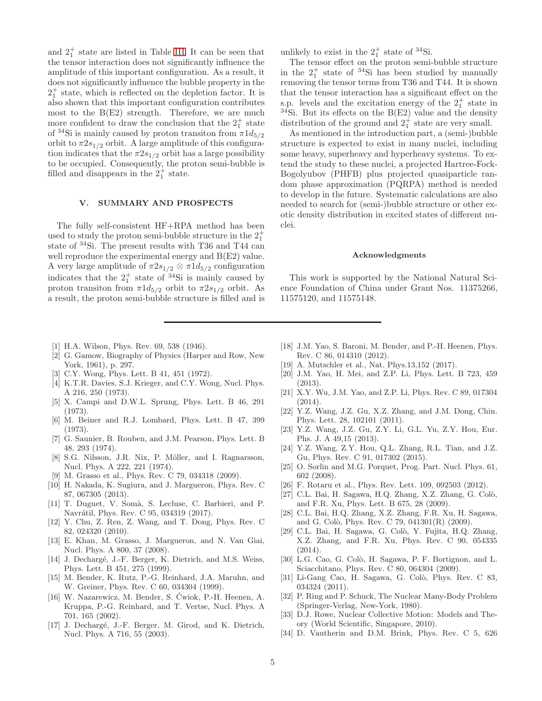and  $2^+_1$  state are listed in Table [III.](#page-3-3) It can be seen that the tensor interaction does not significantly influence the amplitude of this important configuration. As a result, it does not significantly influence the bubble property in the  $2<sub>1</sub><sup>+</sup>$  state, which is reflected on the depletion factor. It is also shown that this important configuration contributes most to the  $B(E2)$  strength. Therefore, we are much more confident to draw the conclusion that the  $2^+_1$  state of <sup>34</sup>Si is mainly caused by proton transiton from  $\pi 1d_{5/2}$ orbit to  $\pi 2s_{1/2}$  orbit. A large amplitude of this configuration indicates that the  $\pi 2s_{1/2}$  orbit has a large possibility to be occupied. Consequently, the proton semi-bubble is filled and disappears in the  $2<sub>1</sub><sup>+</sup>$  state.

### <span id="page-4-22"></span>V. SUMMARY AND PROSPECTS

The fully self-consistent HF+RPA method has been used to study the proton semi-bubble structure in the  $2^+_1$ state of <sup>34</sup>Si. The present results with T36 and T44 can well reproduce the experimental energy and B(E2) value. A very large amplitude of  $\pi 2s_{1/2} \otimes \pi 1d_{5/2}$  configuration indicates that the  $2^+_1$  state of <sup>34</sup>Si is mainly caused by proton transiton from  $\pi 1d_{5/2}$  orbit to  $\pi 2s_{1/2}$  orbit. As a result, the proton semi-bubble structure is filled and is

unlikely to exist in the  $2^+_1$  state of <sup>34</sup>Si.

The tensor effect on the proton semi-bubble structure in the  $2^+_1$  state of <sup>34</sup>Si has been studied by manually removing the tensor terms from T36 and T44. It is shown that the tensor interaction has a significant effect on the s.p. levels and the excitation energy of the  $2^+_1$  state in <sup>34</sup>Si. But its effects on the  $B(E2)$  value and the density distribution of the ground and  $2_1^+$  state are very small.

As mentioned in the introduction part, a (semi-)bubble structure is expected to exist in many nuclei, including some heavy, superheavy and hyperheavy systems. To extend the study to these nuclei, a projected Hartree-Fock-Bogolyubov (PHFB) plus projected quasiparticle random phase approximation (PQRPA) method is needed to develop in the future. Systematic calculations are also needed to search for (semi-)bubble structure or other exotic density distribution in excited states of different nuclei.

#### Acknowledgments

This work is supported by the National Natural Science Foundation of China under Grant Nos. 11375266, 11575120, and 11575148.

- <span id="page-4-0"></span>[1] H.A. Wilson, Phys. Rev. 69, 538 (1946).
- <span id="page-4-1"></span>[2] G. Gamow, Biography of Physics (Harper and Row, New York, 1961), p. 297.
- <span id="page-4-2"></span>[3] C.Y. Wong, Phys. Lett. B 41, 451 (1972).
- [4] K.T.R. Davies, S.J. Krieger, and C.Y. Wong, Nucl. Phys. A 216, 250 (1973).
- <span id="page-4-9"></span>[5] X. Campi and D.W.L. Sprung, Phys. Lett. B 46, 291 (1973).
- [6] M. Beiner and R.J. Lombard, Phys. Lett. B 47, 399 (1973).
- [7] G. Saunier, B. Rouben, and J.M. Pearson, Phys. Lett. B 48, 293 (1974).
- <span id="page-4-3"></span>[8] S.G. Nilsson, J.R. Nix, P. Möller, and I. Ragnarsson, Nucl. Phys. A 222, 221 (1974).
- <span id="page-4-4"></span>[9] M. Grasso et al., Phys. Rev. C 79, 034318 (2009).
- <span id="page-4-13"></span>[10] H. Nakada, K. Sugiura, and J. Margueron, Phys. Rev. C 87, 067305 (2013).
- <span id="page-4-6"></span>[11] T. Duguet, V. Somà, S. Lecluse, C. Barbieri, and P. Navrátil, Phys. Rev. C 95, 034319 (2017).
- <span id="page-4-7"></span>[12] Y. Chu, Z. Ren, Z. Wang, and T. Dong, Phys. Rev. C 82, 024320 (2010).
- <span id="page-4-8"></span>[13] E. Khan, M. Grasso, J. Margueron, and N. Van Giai, Nucl. Phys. A 800, 37 (2008).
- <span id="page-4-10"></span>[14] J. Dechargé, J.-F. Berger, K. Dietrich, and M.S. Weiss, Phys. Lett. B 451, 275 (1999).
- [15] M. Bender, K. Rutz, P.-G. Reinhard, J.A. Maruhn, and W. Greiner, Phys. Rev. C 60, 034304 (1999).
- [16] W. Nazarewicz, M. Bender, S. Cwiok, P.-H. Heenen, A. ´ Kruppa, P.-G. Reinhard, and T. Vertse, Nucl. Phys. A 701, 165 (2002).
- <span id="page-4-11"></span>[17] J. Dechargé, J.-F. Berger, M. Girod, and K. Dietrich, Nucl. Phys. A 716, 55 (2003).
- <span id="page-4-12"></span>[18] J.M. Yao, S. Baroni, M. Bender, and P.-H. Heenen, Phys. Rev. C 86, 014310 (2012).
- <span id="page-4-14"></span>[19] A. Mutschler et al., Nat. Phys.13,152 (2017).
- <span id="page-4-15"></span>[20] J.M. Yao, H. Mei, and Z.P. Li, Phys. Lett. B 723, 459 (2013).
- <span id="page-4-16"></span>[21] X.Y. Wu, J.M. Yao, and Z.P. Li, Phys. Rev. C 89, 017304  $(2014)$ .
- <span id="page-4-21"></span>[22] Y.Z. Wang, J.Z. Gu, X.Z. Zhang, and J.M. Dong, Chin. Phys. Lett. 28, 102101 (2011).
- [23] Y.Z. Wang, J.Z. Gu, Z.Y. Li, G.L. Yu, Z.Y. Hou, Eur. Phs. J. A 49,15 (2013).
- <span id="page-4-5"></span>[24] Y.Z. Wang, Z.Y. Hou, Q.L. Zhang, R.L. Tian, and J.Z. Gu, Phys. Rev. C 91, 017302 (2015).
- <span id="page-4-17"></span>[25] O. Sorlin and M.G. Porquet, Prog. Part. Nucl. Phys. 61, 602 (2008).
- <span id="page-4-18"></span>[26] F. Rotaru et al., Phys. Rev. Lett. 109, 092503 (2012).
- <span id="page-4-19"></span>[27] C.L. Bai, H. Sagawa, H.Q. Zhang, X.Z. Zhang, G. Colò, and F.R. Xu, Phys. Lett. B 675, 28 (2009).
- [28] C.L. Bai, H.Q. Zhang, X.Z. Zhang, F.R. Xu, H. Sagawa, and G. Colò, Phys. Rev. C 79, 041301(R) (2009).
- [29] C.L. Bai, H. Sagawa, G. Colò, Y. Fujita, H.Q. Zhang, X.Z. Zhang, and F.R. Xu, Phys. Rev. C 90, 054335 (2014).
- <span id="page-4-26"></span>[30] L.G. Cao, G. Colò, H. Sagawa, P. F. Bortignon, and L. Sciacchitano, Phys. Rev. C 80, 064304 (2009).
- <span id="page-4-20"></span>[31] Li-Gang Cao, H. Sagawa, G. Colò, Phys. Rev. C 83, 034324 (2011).
- <span id="page-4-23"></span>[32] P. Ring and P. Schuck, The Nuclear Many-Body Problem (Springer-Verlag, New-York, 1980).
- <span id="page-4-24"></span>[33] D.J. Rowe, Nuclear Collective Motion: Models and Theory (World Scientific, Singapore, 2010).
- <span id="page-4-25"></span>[34] D. Vautherin and D.M. Brink, Phys. Rev. C 5, 626